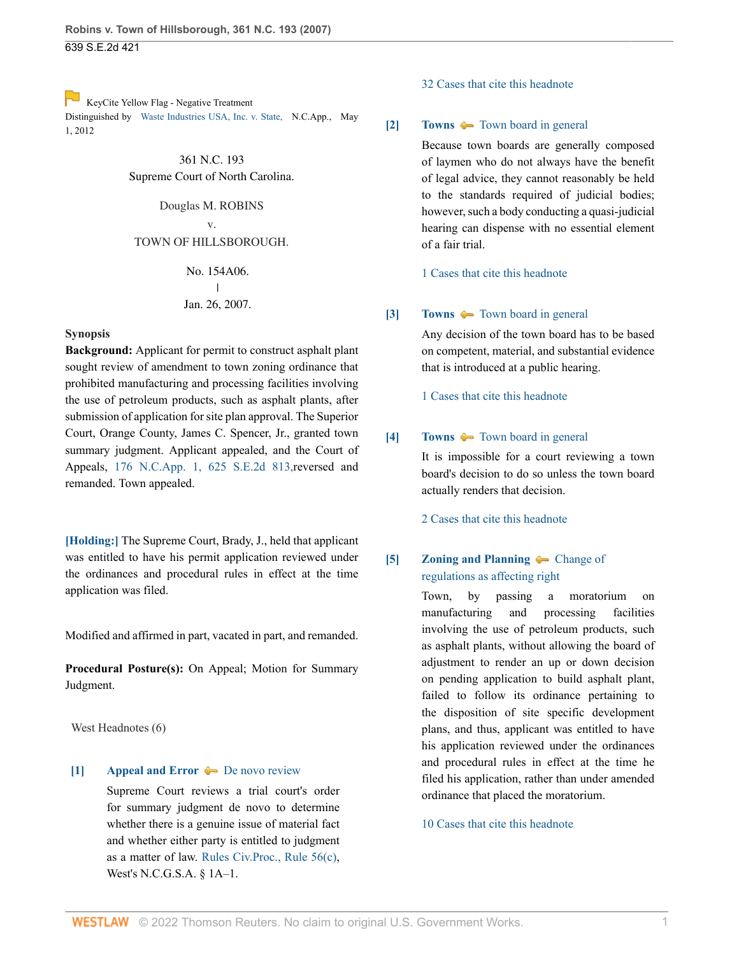639 S.E.2d 421

[K](https://1.next.westlaw.com/Link/RelatedInformation/Flag?documentGuid=I8d966e1593e711e1b11ea85d0b248d27&transitionType=Document&originationContext=docHeaderFlag&Rank=0&ppcid=bd43138a75f2436fb7c3290b7868f7b1&contextData=(sc.FindAndPrintPortal) )eyCite Yellow Flag - Negative Treatment Distinguished by [Waste Industries USA, Inc. v. State, N](https://www.westlaw.com/Document/I8d966e1593e711e1b11ea85d0b248d27/View/FullText.html?navigationPath=RelatedInfo%2Fv4%2Fkeycite%2Fnav%2F%3Fguid%3DI8d966e1593e711e1b11ea85d0b248d27%26ss%3D2011281234%26ds%3D2027607790%26origDocGuid%3DI263c40f9ad5511dbb38df5bc58c34d92&listSource=RelatedInfo&list=NegativeCitingReferences&rank=0&ppcid=bd43138a75f2436fb7c3290b7868f7b1&originationContext=docHeader&transitionType=NegativeTreatment&contextData=%28sc.FindAndPrintPortal%29&VR=3.0&RS=cblt1.0 ).C.App., May 1, 2012

> 361 N.C. 193 Supreme Court of North Carolina.

Douglas M. ROBINS v. TOWN OF HILLSBOROUGH.

> No. 154A06.  $\overline{1}$ | Jan. 26, 2007.

### **Synopsis**

**Background:** Applicant for permit to construct asphalt plant sought review of amendment to town zoning ordinance that prohibited manufacturing and processing facilities involving the use of petroleum products, such as asphalt plants, after submission of application for site plan approval. The Superior Court, Orange County, James C. Spencer, Jr., granted town summary judgment. Applicant appealed, and the Court of Appeals, [176 N.C.App. 1, 625 S.E.2d 813,](http://www.westlaw.com/Link/Document/FullText?findType=Y&serNum=2008492127&pubNum=711&originatingDoc=I263c40f9ad5511dbb38df5bc58c34d92&refType=RP&originationContext=document&vr=3.0&rs=cblt1.0&transitionType=DocumentItem&contextData=(sc.FindAndPrintPortal))reversed and remanded. Town appealed.

**[\[Holding:\]](#page-0-0)** The Supreme Court, Brady, J., held that applicant was entitled to have his permit application reviewed under the ordinances and procedural rules in effect at the time application was filed.

Modified and affirmed in part, vacated in part, and remanded.

**Procedural Posture(s):** On Appeal; Motion for Summary Judgment.

West Headnotes (6)

## <span id="page-0-1"></span>**[\[1\]](#page-3-0) [Appeal and Error](http://www.westlaw.com/Browse/Home/KeyNumber/30/View.html?docGuid=I263c40f9ad5511dbb38df5bc58c34d92&originationContext=document&vr=3.0&rs=cblt1.0&transitionType=DocumentItem&contextData=(sc.FindAndPrintPortal))**  $\blacktriangleright$  **[De novo review](http://www.westlaw.com/Browse/Home/KeyNumber/30k3554/View.html?docGuid=I263c40f9ad5511dbb38df5bc58c34d92&originationContext=document&vr=3.0&rs=cblt1.0&transitionType=DocumentItem&contextData=(sc.FindAndPrintPortal))**

Supreme Court reviews a trial court's order for summary judgment de novo to determine whether there is a genuine issue of material fact and whether either party is entitled to judgment as a matter of law. [Rules Civ.Proc., Rule 56\(c\),](http://www.westlaw.com/Link/Document/FullText?findType=L&pubNum=1000711&cite=NCSTRCPS1A-1R56&originatingDoc=I263c40f9ad5511dbb38df5bc58c34d92&refType=LQ&originationContext=document&vr=3.0&rs=cblt1.0&transitionType=DocumentItem&contextData=(sc.FindAndPrintPortal)) West's N.C.G.S.A. § 1A–1.

#### [32 Cases that cite this headnote](http://www.westlaw.com/Link/RelatedInformation/DocHeadnoteLink?docGuid=I263c40f9ad5511dbb38df5bc58c34d92&headnoteId=201128123400120180202004910&originationContext=document&vr=3.0&rs=cblt1.0&transitionType=CitingReferences&contextData=(sc.FindAndPrintPortal))

## <span id="page-0-2"></span>**[\[2\]](#page-3-1) [Towns](http://www.westlaw.com/Browse/Home/KeyNumber/381/View.html?docGuid=I263c40f9ad5511dbb38df5bc58c34d92&originationContext=document&vr=3.0&rs=cblt1.0&transitionType=DocumentItem&contextData=(sc.FindAndPrintPortal))**  $\blacklozenge$  **[Town board in general](http://www.westlaw.com/Browse/Home/KeyNumber/381k26/View.html?docGuid=I263c40f9ad5511dbb38df5bc58c34d92&originationContext=document&vr=3.0&rs=cblt1.0&transitionType=DocumentItem&contextData=(sc.FindAndPrintPortal))**

Because town boards are generally composed of laymen who do not always have the benefit of legal advice, they cannot reasonably be held to the standards required of judicial bodies; however, such a body conducting a quasi-judicial hearing can dispense with no essential element of a fair trial.

[1 Cases that cite this headnote](http://www.westlaw.com/Link/RelatedInformation/DocHeadnoteLink?docGuid=I263c40f9ad5511dbb38df5bc58c34d92&headnoteId=201128123400220180202004910&originationContext=document&vr=3.0&rs=cblt1.0&transitionType=CitingReferences&contextData=(sc.FindAndPrintPortal))

## <span id="page-0-3"></span>**[\[3\]](#page-3-2) [Towns](http://www.westlaw.com/Browse/Home/KeyNumber/381/View.html?docGuid=I263c40f9ad5511dbb38df5bc58c34d92&originationContext=document&vr=3.0&rs=cblt1.0&transitionType=DocumentItem&contextData=(sc.FindAndPrintPortal))**  $\bullet$  **[Town board in general](http://www.westlaw.com/Browse/Home/KeyNumber/381k26/View.html?docGuid=I263c40f9ad5511dbb38df5bc58c34d92&originationContext=document&vr=3.0&rs=cblt1.0&transitionType=DocumentItem&contextData=(sc.FindAndPrintPortal))**

Any decision of the town board has to be based on competent, material, and substantial evidence that is introduced at a public hearing.

[1 Cases that cite this headnote](http://www.westlaw.com/Link/RelatedInformation/DocHeadnoteLink?docGuid=I263c40f9ad5511dbb38df5bc58c34d92&headnoteId=201128123400320180202004910&originationContext=document&vr=3.0&rs=cblt1.0&transitionType=CitingReferences&contextData=(sc.FindAndPrintPortal))

## <span id="page-0-4"></span>**[\[4\]](#page-3-3) [Towns](http://www.westlaw.com/Browse/Home/KeyNumber/381/View.html?docGuid=I263c40f9ad5511dbb38df5bc58c34d92&originationContext=document&vr=3.0&rs=cblt1.0&transitionType=DocumentItem&contextData=(sc.FindAndPrintPortal))**  $\blacktriangleright$  **[Town board in general](http://www.westlaw.com/Browse/Home/KeyNumber/381k26/View.html?docGuid=I263c40f9ad5511dbb38df5bc58c34d92&originationContext=document&vr=3.0&rs=cblt1.0&transitionType=DocumentItem&contextData=(sc.FindAndPrintPortal))**

It is impossible for a court reviewing a town board's decision to do so unless the town board actually renders that decision.

[2 Cases that cite this headnote](http://www.westlaw.com/Link/RelatedInformation/DocHeadnoteLink?docGuid=I263c40f9ad5511dbb38df5bc58c34d92&headnoteId=201128123400420180202004910&originationContext=document&vr=3.0&rs=cblt1.0&transitionType=CitingReferences&contextData=(sc.FindAndPrintPortal))

# <span id="page-0-0"></span>**[\[5\]](#page-4-0) [Zoning and Planning](http://www.westlaw.com/Browse/Home/KeyNumber/414/View.html?docGuid=I263c40f9ad5511dbb38df5bc58c34d92&originationContext=document&vr=3.0&rs=cblt1.0&transitionType=DocumentItem&contextData=(sc.FindAndPrintPortal)) C** [Change of](http://www.westlaw.com/Browse/Home/KeyNumber/414k1352/View.html?docGuid=I263c40f9ad5511dbb38df5bc58c34d92&originationContext=document&vr=3.0&rs=cblt1.0&transitionType=DocumentItem&contextData=(sc.FindAndPrintPortal)) [regulations as affecting right](http://www.westlaw.com/Browse/Home/KeyNumber/414k1352/View.html?docGuid=I263c40f9ad5511dbb38df5bc58c34d92&originationContext=document&vr=3.0&rs=cblt1.0&transitionType=DocumentItem&contextData=(sc.FindAndPrintPortal))

Town, by passing a moratorium on manufacturing and processing facilities involving the use of petroleum products, such as asphalt plants, without allowing the board of adjustment to render an up or down decision on pending application to build asphalt plant, failed to follow its ordinance pertaining to the disposition of site specific development plans, and thus, applicant was entitled to have his application reviewed under the ordinances and procedural rules in effect at the time he filed his application, rather than under amended ordinance that placed the moratorium.

## [10 Cases that cite this headnote](http://www.westlaw.com/Link/RelatedInformation/DocHeadnoteLink?docGuid=I263c40f9ad5511dbb38df5bc58c34d92&headnoteId=201128123400520180202004910&originationContext=document&vr=3.0&rs=cblt1.0&transitionType=CitingReferences&contextData=(sc.FindAndPrintPortal))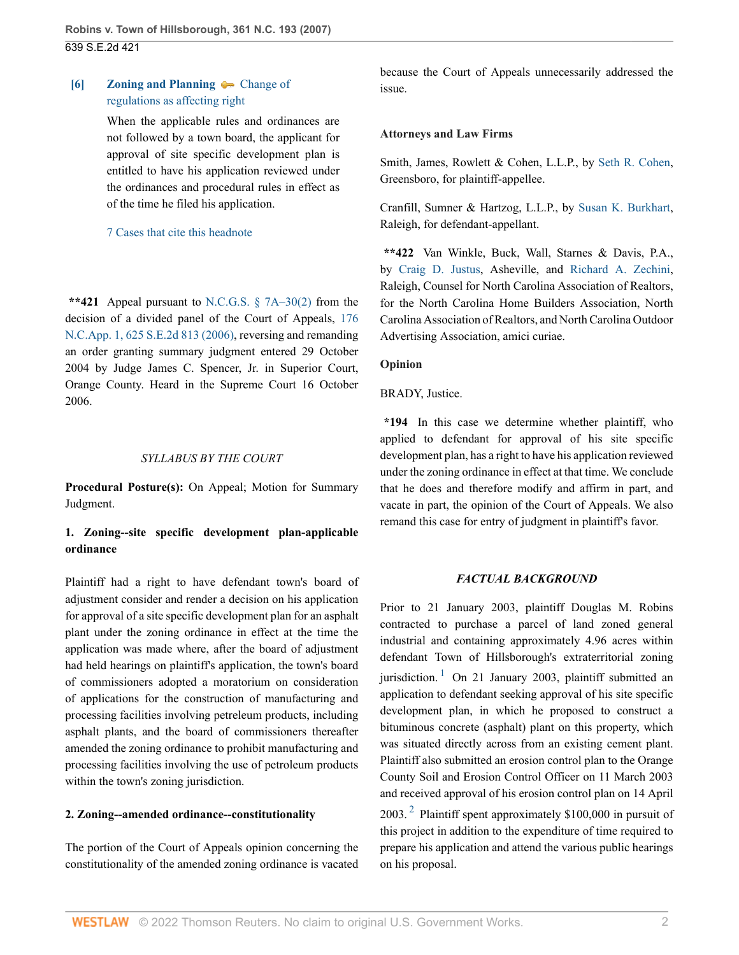# <span id="page-1-2"></span>**[\[6\]](#page-4-1) [Zoning and Planning](http://www.westlaw.com/Browse/Home/KeyNumber/414/View.html?docGuid=I263c40f9ad5511dbb38df5bc58c34d92&originationContext=document&vr=3.0&rs=cblt1.0&transitionType=DocumentItem&contextData=(sc.FindAndPrintPortal))**  $\blacklozenge$  **[Change of](http://www.westlaw.com/Browse/Home/KeyNumber/414k1352/View.html?docGuid=I263c40f9ad5511dbb38df5bc58c34d92&originationContext=document&vr=3.0&rs=cblt1.0&transitionType=DocumentItem&contextData=(sc.FindAndPrintPortal))** [regulations as affecting right](http://www.westlaw.com/Browse/Home/KeyNumber/414k1352/View.html?docGuid=I263c40f9ad5511dbb38df5bc58c34d92&originationContext=document&vr=3.0&rs=cblt1.0&transitionType=DocumentItem&contextData=(sc.FindAndPrintPortal))

When the applicable rules and ordinances are not followed by a town board, the applicant for approval of site specific development plan is entitled to have his application reviewed under the ordinances and procedural rules in effect as of the time he filed his application.

## [7 Cases that cite this headnote](http://www.westlaw.com/Link/RelatedInformation/DocHeadnoteLink?docGuid=I263c40f9ad5511dbb38df5bc58c34d92&headnoteId=201128123400620180202004910&originationContext=document&vr=3.0&rs=cblt1.0&transitionType=CitingReferences&contextData=(sc.FindAndPrintPortal))

**\*\*421** Appeal pursuant to [N.C.G.S. § 7A–30\(2\)](http://www.westlaw.com/Link/Document/FullText?findType=L&pubNum=1000037&cite=NCSTS7A-30&originatingDoc=I263c40f9ad5511dbb38df5bc58c34d92&refType=SP&originationContext=document&vr=3.0&rs=cblt1.0&transitionType=DocumentItem&contextData=(sc.FindAndPrintPortal)#co_pp_58730000872b1) from the decision of a divided panel of the Court of Appeals, [176](http://www.westlaw.com/Link/Document/FullText?findType=Y&serNum=2008492127&pubNum=0000711&originatingDoc=I263c40f9ad5511dbb38df5bc58c34d92&refType=RP&originationContext=document&vr=3.0&rs=cblt1.0&transitionType=DocumentItem&contextData=(sc.FindAndPrintPortal)) [N.C.App. 1, 625 S.E.2d 813 \(2006\),](http://www.westlaw.com/Link/Document/FullText?findType=Y&serNum=2008492127&pubNum=0000711&originatingDoc=I263c40f9ad5511dbb38df5bc58c34d92&refType=RP&originationContext=document&vr=3.0&rs=cblt1.0&transitionType=DocumentItem&contextData=(sc.FindAndPrintPortal)) reversing and remanding an order granting summary judgment entered 29 October 2004 by Judge James C. Spencer, Jr. in Superior Court, Orange County. Heard in the Supreme Court 16 October 2006.

### *SYLLABUS BY THE COURT*

**Procedural Posture(s):** On Appeal; Motion for Summary Judgment.

# **1. Zoning--site specific development plan-applicable ordinance**

Plaintiff had a right to have defendant town's board of adjustment consider and render a decision on his application for approval of a site specific development plan for an asphalt plant under the zoning ordinance in effect at the time the application was made where, after the board of adjustment had held hearings on plaintiff's application, the town's board of commissioners adopted a moratorium on consideration of applications for the construction of manufacturing and processing facilities involving petreleum products, including asphalt plants, and the board of commissioners thereafter amended the zoning ordinance to prohibit manufacturing and processing facilities involving the use of petroleum products within the town's zoning jurisdiction.

## **2. Zoning--amended ordinance--constitutionality**

The portion of the Court of Appeals opinion concerning the constitutionality of the amended zoning ordinance is vacated because the Court of Appeals unnecessarily addressed the issue.

### **Attorneys and Law Firms**

Smith, James, Rowlett & Cohen, L.L.P., by [Seth R. Cohen](http://www.westlaw.com/Link/Document/FullText?findType=h&pubNum=176284&cite=0140138301&originatingDoc=I263c40f9ad5511dbb38df5bc58c34d92&refType=RQ&originationContext=document&vr=3.0&rs=cblt1.0&transitionType=DocumentItem&contextData=(sc.FindAndPrintPortal)), Greensboro, for plaintiff-appellee.

Cranfill, Sumner & Hartzog, L.L.P., by [Susan K. Burkhart,](http://www.westlaw.com/Link/Document/FullText?findType=h&pubNum=176284&cite=0116569401&originatingDoc=I263c40f9ad5511dbb38df5bc58c34d92&refType=RQ&originationContext=document&vr=3.0&rs=cblt1.0&transitionType=DocumentItem&contextData=(sc.FindAndPrintPortal)) Raleigh, for defendant-appellant.

**\*\*422** Van Winkle, Buck, Wall, Starnes & Davis, P.A., by [Craig D. Justus](http://www.westlaw.com/Link/Document/FullText?findType=h&pubNum=176284&cite=0252266801&originatingDoc=I263c40f9ad5511dbb38df5bc58c34d92&refType=RQ&originationContext=document&vr=3.0&rs=cblt1.0&transitionType=DocumentItem&contextData=(sc.FindAndPrintPortal)), Asheville, and [Richard A. Zechini,](http://www.westlaw.com/Link/Document/FullText?findType=h&pubNum=176284&cite=0464723401&originatingDoc=I263c40f9ad5511dbb38df5bc58c34d92&refType=RQ&originationContext=document&vr=3.0&rs=cblt1.0&transitionType=DocumentItem&contextData=(sc.FindAndPrintPortal)) Raleigh, Counsel for North Carolina Association of Realtors, for the North Carolina Home Builders Association, North Carolina Association of Realtors, and North Carolina Outdoor Advertising Association, amici curiae.

### **Opinion**

### BRADY, Justice.

<span id="page-1-1"></span>on his proposal.

**\*194** In this case we determine whether plaintiff, who applied to defendant for approval of his site specific development plan, has a right to have his application reviewed under the zoning ordinance in effect at that time. We conclude that he does and therefore modify and affirm in part, and vacate in part, the opinion of the Court of Appeals. We also remand this case for entry of judgment in plaintiff's favor.

## *FACTUAL BACKGROUND*

<span id="page-1-0"></span>Prior to 21 January 2003, plaintiff Douglas M. Robins contracted to purchase a parcel of land zoned general industrial and containing approximately 4.96 acres within defendant Town of Hillsborough's extraterritorial zoning jurisdiction.<sup>[1](#page-2-0)</sup> On 21 January 2003, plaintiff submitted an application to defendant seeking approval of his site specific development plan, in which he proposed to construct a bituminous concrete (asphalt) plant on this property, which was situated directly across from an existing cement plant. Plaintiff also submitted an erosion control plan to the Orange County Soil and Erosion Control Officer on 11 March 2003 and received approval of his erosion control plan on 14 April  $2003.<sup>2</sup>$  $2003.<sup>2</sup>$  Plaintiff spent approximately \$100,000 in pursuit of this project in addition to the expenditure of time required to prepare his application and attend the various public hearings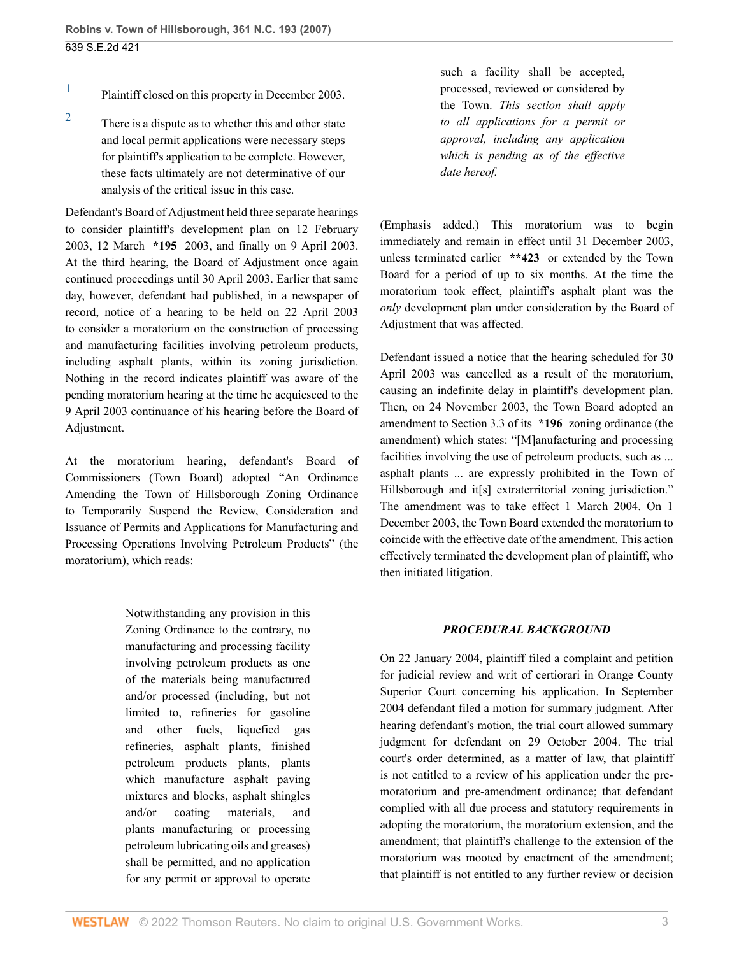- <span id="page-2-0"></span>[1](#page-1-0) Plaintiff closed on this property in December 2003.
- <span id="page-2-1"></span>[2](#page-1-1) There is a dispute as to whether this and other state and local permit applications were necessary steps for plaintiff's application to be complete. However, these facts ultimately are not determinative of our analysis of the critical issue in this case.

Defendant's Board of Adjustment held three separate hearings to consider plaintiff's development plan on 12 February 2003, 12 March **\*195** 2003, and finally on 9 April 2003. At the third hearing, the Board of Adjustment once again continued proceedings until 30 April 2003. Earlier that same day, however, defendant had published, in a newspaper of record, notice of a hearing to be held on 22 April 2003 to consider a moratorium on the construction of processing and manufacturing facilities involving petroleum products, including asphalt plants, within its zoning jurisdiction. Nothing in the record indicates plaintiff was aware of the pending moratorium hearing at the time he acquiesced to the 9 April 2003 continuance of his hearing before the Board of Adjustment.

At the moratorium hearing, defendant's Board of Commissioners (Town Board) adopted "An Ordinance Amending the Town of Hillsborough Zoning Ordinance to Temporarily Suspend the Review, Consideration and Issuance of Permits and Applications for Manufacturing and Processing Operations Involving Petroleum Products" (the moratorium), which reads:

> Notwithstanding any provision in this Zoning Ordinance to the contrary, no manufacturing and processing facility involving petroleum products as one of the materials being manufactured and/or processed (including, but not limited to, refineries for gasoline and other fuels, liquefied gas refineries, asphalt plants, finished petroleum products plants, plants which manufacture asphalt paving mixtures and blocks, asphalt shingles and/or coating materials, and plants manufacturing or processing petroleum lubricating oils and greases) shall be permitted, and no application for any permit or approval to operate

such a facility shall be accepted, processed, reviewed or considered by the Town. *This section shall apply to all applications for a permit or approval, including any application which is pending as of the effective date hereof.*

(Emphasis added.) This moratorium was to begin immediately and remain in effect until 31 December 2003, unless terminated earlier **\*\*423** or extended by the Town Board for a period of up to six months. At the time the moratorium took effect, plaintiff's asphalt plant was the *only* development plan under consideration by the Board of Adjustment that was affected.

Defendant issued a notice that the hearing scheduled for 30 April 2003 was cancelled as a result of the moratorium, causing an indefinite delay in plaintiff's development plan. Then, on 24 November 2003, the Town Board adopted an amendment to Section 3.3 of its **\*196** zoning ordinance (the amendment) which states: "[M]anufacturing and processing facilities involving the use of petroleum products, such as ... asphalt plants ... are expressly prohibited in the Town of Hillsborough and it<sup>[s]</sup> extraterritorial zoning jurisdiction." The amendment was to take effect 1 March 2004. On 1 December 2003, the Town Board extended the moratorium to coincide with the effective date of the amendment. This action effectively terminated the development plan of plaintiff, who then initiated litigation.

## *PROCEDURAL BACKGROUND*

On 22 January 2004, plaintiff filed a complaint and petition for judicial review and writ of certiorari in Orange County Superior Court concerning his application. In September 2004 defendant filed a motion for summary judgment. After hearing defendant's motion, the trial court allowed summary judgment for defendant on 29 October 2004. The trial court's order determined, as a matter of law, that plaintiff is not entitled to a review of his application under the premoratorium and pre-amendment ordinance; that defendant complied with all due process and statutory requirements in adopting the moratorium, the moratorium extension, and the amendment; that plaintiff's challenge to the extension of the moratorium was mooted by enactment of the amendment; that plaintiff is not entitled to any further review or decision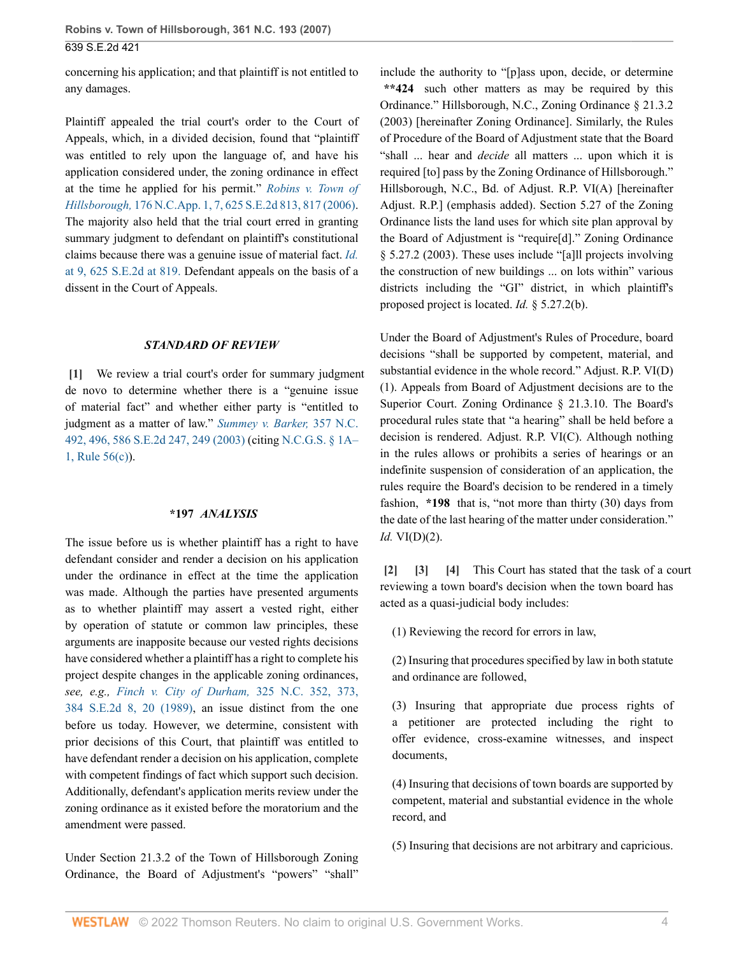**Robins v. Town of Hillsborough, 361 N.C. 193 (2007)** 639 S.E.2d 421

concerning his application; and that plaintiff is not entitled to any damages.

Plaintiff appealed the trial court's order to the Court of Appeals, which, in a divided decision, found that "plaintiff was entitled to rely upon the language of, and have his application considered under, the zoning ordinance in effect at the time he applied for his permit." *[Robins v. Town of](http://www.westlaw.com/Link/Document/FullText?findType=Y&serNum=2008492127&pubNum=0000711&originatingDoc=I263c40f9ad5511dbb38df5bc58c34d92&refType=RP&fi=co_pp_sp_711_817&originationContext=document&vr=3.0&rs=cblt1.0&transitionType=DocumentItem&contextData=(sc.FindAndPrintPortal)#co_pp_sp_711_817) Hillsborough,* [176 N.C.App. 1, 7, 625 S.E.2d 813, 817 \(2006\)](http://www.westlaw.com/Link/Document/FullText?findType=Y&serNum=2008492127&pubNum=0000711&originatingDoc=I263c40f9ad5511dbb38df5bc58c34d92&refType=RP&fi=co_pp_sp_711_817&originationContext=document&vr=3.0&rs=cblt1.0&transitionType=DocumentItem&contextData=(sc.FindAndPrintPortal)#co_pp_sp_711_817). The majority also held that the trial court erred in granting summary judgment to defendant on plaintiff's constitutional claims because there was a genuine issue of material fact. *[Id.](http://www.westlaw.com/Link/Document/FullText?findType=Y&serNum=2008492127&pubNum=711&originatingDoc=I263c40f9ad5511dbb38df5bc58c34d92&refType=RP&fi=co_pp_sp_711_819&originationContext=document&vr=3.0&rs=cblt1.0&transitionType=DocumentItem&contextData=(sc.FindAndPrintPortal)#co_pp_sp_711_819)* [at 9, 625 S.E.2d at 819.](http://www.westlaw.com/Link/Document/FullText?findType=Y&serNum=2008492127&pubNum=711&originatingDoc=I263c40f9ad5511dbb38df5bc58c34d92&refType=RP&fi=co_pp_sp_711_819&originationContext=document&vr=3.0&rs=cblt1.0&transitionType=DocumentItem&contextData=(sc.FindAndPrintPortal)#co_pp_sp_711_819) Defendant appeals on the basis of a dissent in the Court of Appeals.

#### *STANDARD OF REVIEW*

<span id="page-3-0"></span>**[\[1\]](#page-0-1)** We review a trial court's order for summary judgment de novo to determine whether there is a "genuine issue of material fact" and whether either party is "entitled to judgment as a matter of law." *[Summey v. Barker,](http://www.westlaw.com/Link/Document/FullText?findType=Y&serNum=2003668104&pubNum=0000711&originatingDoc=I263c40f9ad5511dbb38df5bc58c34d92&refType=RP&fi=co_pp_sp_711_249&originationContext=document&vr=3.0&rs=cblt1.0&transitionType=DocumentItem&contextData=(sc.FindAndPrintPortal)#co_pp_sp_711_249)* 357 N.C. [492, 496, 586 S.E.2d 247, 249 \(2003\)](http://www.westlaw.com/Link/Document/FullText?findType=Y&serNum=2003668104&pubNum=0000711&originatingDoc=I263c40f9ad5511dbb38df5bc58c34d92&refType=RP&fi=co_pp_sp_711_249&originationContext=document&vr=3.0&rs=cblt1.0&transitionType=DocumentItem&contextData=(sc.FindAndPrintPortal)#co_pp_sp_711_249) (citing [N.C.G.S. § 1A–](http://www.westlaw.com/Link/Document/FullText?findType=L&pubNum=1000711&cite=NCSTRCPS1A-1R56&originatingDoc=I263c40f9ad5511dbb38df5bc58c34d92&refType=LQ&originationContext=document&vr=3.0&rs=cblt1.0&transitionType=DocumentItem&contextData=(sc.FindAndPrintPortal)) [1, Rule 56\(c\)](http://www.westlaw.com/Link/Document/FullText?findType=L&pubNum=1000711&cite=NCSTRCPS1A-1R56&originatingDoc=I263c40f9ad5511dbb38df5bc58c34d92&refType=LQ&originationContext=document&vr=3.0&rs=cblt1.0&transitionType=DocumentItem&contextData=(sc.FindAndPrintPortal))).

#### **\*197** *ANALYSIS*

The issue before us is whether plaintiff has a right to have defendant consider and render a decision on his application under the ordinance in effect at the time the application was made. Although the parties have presented arguments as to whether plaintiff may assert a vested right, either by operation of statute or common law principles, these arguments are inapposite because our vested rights decisions have considered whether a plaintiff has a right to complete his project despite changes in the applicable zoning ordinances, *see, e.g., [Finch v. City of Durham,](http://www.westlaw.com/Link/Document/FullText?findType=Y&serNum=1989142186&pubNum=0000711&originatingDoc=I263c40f9ad5511dbb38df5bc58c34d92&refType=RP&fi=co_pp_sp_711_20&originationContext=document&vr=3.0&rs=cblt1.0&transitionType=DocumentItem&contextData=(sc.FindAndPrintPortal)#co_pp_sp_711_20)* 325 N.C. 352, 373, [384 S.E.2d 8, 20 \(1989\),](http://www.westlaw.com/Link/Document/FullText?findType=Y&serNum=1989142186&pubNum=0000711&originatingDoc=I263c40f9ad5511dbb38df5bc58c34d92&refType=RP&fi=co_pp_sp_711_20&originationContext=document&vr=3.0&rs=cblt1.0&transitionType=DocumentItem&contextData=(sc.FindAndPrintPortal)#co_pp_sp_711_20) an issue distinct from the one before us today. However, we determine, consistent with prior decisions of this Court, that plaintiff was entitled to have defendant render a decision on his application, complete with competent findings of fact which support such decision. Additionally, defendant's application merits review under the zoning ordinance as it existed before the moratorium and the amendment were passed.

Under Section 21.3.2 of the Town of Hillsborough Zoning Ordinance, the Board of Adjustment's "powers" "shall" include the authority to "[p]ass upon, decide, or determine **\*\*424** such other matters as may be required by this Ordinance." Hillsborough, N.C., Zoning Ordinance § 21.3.2 (2003) [hereinafter Zoning Ordinance]. Similarly, the Rules of Procedure of the Board of Adjustment state that the Board "shall ... hear and *decide* all matters ... upon which it is required [to] pass by the Zoning Ordinance of Hillsborough." Hillsborough, N.C., Bd. of Adjust. R.P. VI(A) [hereinafter Adjust. R.P.] (emphasis added). Section 5.27 of the Zoning Ordinance lists the land uses for which site plan approval by the Board of Adjustment is "require[d]." Zoning Ordinance § 5.27.2 (2003). These uses include "[a]ll projects involving the construction of new buildings ... on lots within" various districts including the "GI" district, in which plaintiff's proposed project is located. *Id.* § 5.27.2(b).

Under the Board of Adjustment's Rules of Procedure, board decisions "shall be supported by competent, material, and substantial evidence in the whole record." Adjust. R.P. VI(D) (1). Appeals from Board of Adjustment decisions are to the Superior Court. Zoning Ordinance § 21.3.10. The Board's procedural rules state that "a hearing" shall be held before a decision is rendered. Adjust. R.P. VI(C). Although nothing in the rules allows or prohibits a series of hearings or an indefinite suspension of consideration of an application, the rules require the Board's decision to be rendered in a timely fashion, **\*198** that is, "not more than thirty (30) days from the date of the last hearing of the matter under consideration." *Id.* VI(D)(2).

<span id="page-3-3"></span><span id="page-3-2"></span><span id="page-3-1"></span>**[\[2\]](#page-0-2) [\[3](#page-0-3)] [\[4\]](#page-0-4)** This Court has stated that the task of a court reviewing a town board's decision when the town board has acted as a quasi-judicial body includes:

(1) Reviewing the record for errors in law,

(2) Insuring that procedures specified by law in both statute and ordinance are followed,

(3) Insuring that appropriate due process rights of a petitioner are protected including the right to offer evidence, cross-examine witnesses, and inspect documents,

(4) Insuring that decisions of town boards are supported by competent, material and substantial evidence in the whole record, and

(5) Insuring that decisions are not arbitrary and capricious.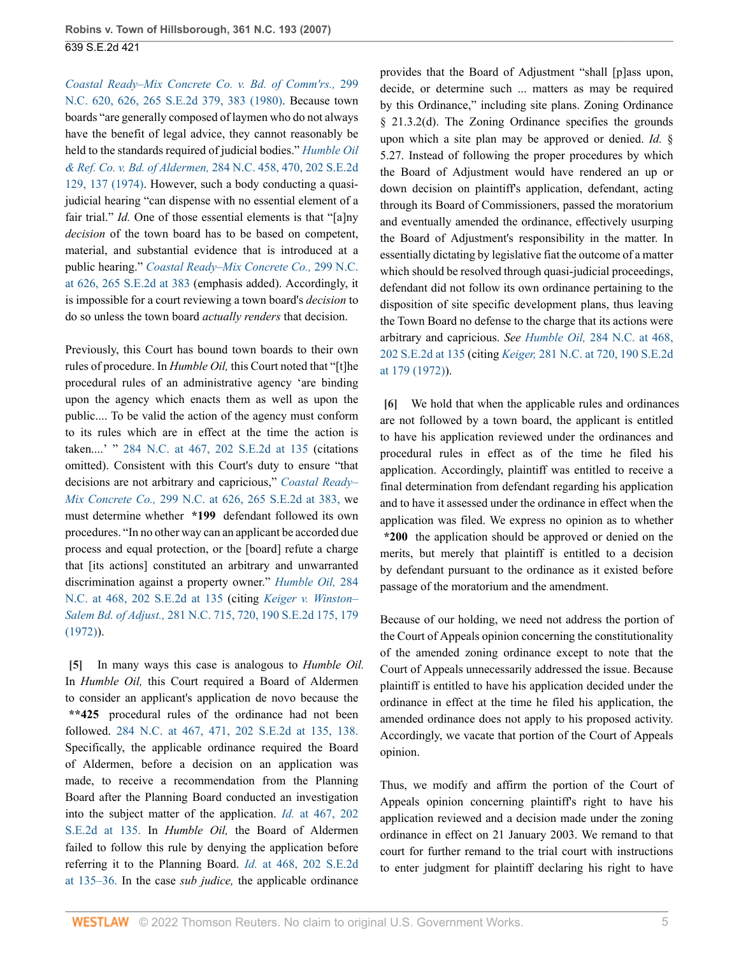*[Coastal Ready–Mix Concrete Co. v. Bd. of Comm'rs.,](http://www.westlaw.com/Link/Document/FullText?findType=Y&serNum=1980109999&pubNum=0000711&originatingDoc=I263c40f9ad5511dbb38df5bc58c34d92&refType=RP&fi=co_pp_sp_711_383&originationContext=document&vr=3.0&rs=cblt1.0&transitionType=DocumentItem&contextData=(sc.FindAndPrintPortal)#co_pp_sp_711_383)* 299 [N.C. 620, 626, 265 S.E.2d 379, 383 \(1980\)](http://www.westlaw.com/Link/Document/FullText?findType=Y&serNum=1980109999&pubNum=0000711&originatingDoc=I263c40f9ad5511dbb38df5bc58c34d92&refType=RP&fi=co_pp_sp_711_383&originationContext=document&vr=3.0&rs=cblt1.0&transitionType=DocumentItem&contextData=(sc.FindAndPrintPortal)#co_pp_sp_711_383). Because town boards "are generally composed of laymen who do not always have the benefit of legal advice, they cannot reasonably be held to the standards required of judicial bodies." *[Humble Oil](http://www.westlaw.com/Link/Document/FullText?findType=Y&serNum=1974127379&pubNum=0000711&originatingDoc=I263c40f9ad5511dbb38df5bc58c34d92&refType=RP&fi=co_pp_sp_711_137&originationContext=document&vr=3.0&rs=cblt1.0&transitionType=DocumentItem&contextData=(sc.FindAndPrintPortal)#co_pp_sp_711_137) & Ref. Co. v. Bd. of Aldermen,* [284 N.C. 458, 470, 202 S.E.2d](http://www.westlaw.com/Link/Document/FullText?findType=Y&serNum=1974127379&pubNum=0000711&originatingDoc=I263c40f9ad5511dbb38df5bc58c34d92&refType=RP&fi=co_pp_sp_711_137&originationContext=document&vr=3.0&rs=cblt1.0&transitionType=DocumentItem&contextData=(sc.FindAndPrintPortal)#co_pp_sp_711_137) [129, 137 \(1974\)](http://www.westlaw.com/Link/Document/FullText?findType=Y&serNum=1974127379&pubNum=0000711&originatingDoc=I263c40f9ad5511dbb38df5bc58c34d92&refType=RP&fi=co_pp_sp_711_137&originationContext=document&vr=3.0&rs=cblt1.0&transitionType=DocumentItem&contextData=(sc.FindAndPrintPortal)#co_pp_sp_711_137). However, such a body conducting a quasijudicial hearing "can dispense with no essential element of a fair trial." *Id.* One of those essential elements is that "[a]ny *decision* of the town board has to be based on competent, material, and substantial evidence that is introduced at a public hearing." *[Coastal Ready–Mix Concrete Co.,](http://www.westlaw.com/Link/Document/FullText?findType=Y&serNum=1980109999&pubNum=0000711&originatingDoc=I263c40f9ad5511dbb38df5bc58c34d92&refType=RP&fi=co_pp_sp_711_383&originationContext=document&vr=3.0&rs=cblt1.0&transitionType=DocumentItem&contextData=(sc.FindAndPrintPortal)#co_pp_sp_711_383)* 299 N.C. [at 626, 265 S.E.2d at 383](http://www.westlaw.com/Link/Document/FullText?findType=Y&serNum=1980109999&pubNum=0000711&originatingDoc=I263c40f9ad5511dbb38df5bc58c34d92&refType=RP&fi=co_pp_sp_711_383&originationContext=document&vr=3.0&rs=cblt1.0&transitionType=DocumentItem&contextData=(sc.FindAndPrintPortal)#co_pp_sp_711_383) (emphasis added). Accordingly, it is impossible for a court reviewing a town board's *decision* to do so unless the town board *actually renders* that decision.

Previously, this Court has bound town boards to their own rules of procedure. In *Humble Oil,* this Court noted that "[t]he procedural rules of an administrative agency 'are binding upon the agency which enacts them as well as upon the public.... To be valid the action of the agency must conform to its rules which are in effect at the time the action is taken....' " [284 N.C. at 467, 202 S.E.2d at 135](http://www.westlaw.com/Link/Document/FullText?findType=Y&serNum=1974127379&pubNum=0000711&originatingDoc=I263c40f9ad5511dbb38df5bc58c34d92&refType=RP&fi=co_pp_sp_711_135&originationContext=document&vr=3.0&rs=cblt1.0&transitionType=DocumentItem&contextData=(sc.FindAndPrintPortal)#co_pp_sp_711_135) (citations omitted). Consistent with this Court's duty to ensure "that decisions are not arbitrary and capricious," *[Coastal Ready–](http://www.westlaw.com/Link/Document/FullText?findType=Y&serNum=1980109999&pubNum=711&originatingDoc=I263c40f9ad5511dbb38df5bc58c34d92&refType=RP&fi=co_pp_sp_711_383&originationContext=document&vr=3.0&rs=cblt1.0&transitionType=DocumentItem&contextData=(sc.FindAndPrintPortal)#co_pp_sp_711_383) Mix Concrete Co.,* [299 N.C. at 626, 265 S.E.2d at 383,](http://www.westlaw.com/Link/Document/FullText?findType=Y&serNum=1980109999&pubNum=711&originatingDoc=I263c40f9ad5511dbb38df5bc58c34d92&refType=RP&fi=co_pp_sp_711_383&originationContext=document&vr=3.0&rs=cblt1.0&transitionType=DocumentItem&contextData=(sc.FindAndPrintPortal)#co_pp_sp_711_383) we must determine whether **\*199** defendant followed its own procedures. "In no other way can an applicant be accorded due process and equal protection, or the [board] refute a charge that [its actions] constituted an arbitrary and unwarranted discrimination against a property owner." *[Humble Oil,](http://www.westlaw.com/Link/Document/FullText?findType=Y&serNum=1974127379&pubNum=0000711&originatingDoc=I263c40f9ad5511dbb38df5bc58c34d92&refType=RP&fi=co_pp_sp_711_135&originationContext=document&vr=3.0&rs=cblt1.0&transitionType=DocumentItem&contextData=(sc.FindAndPrintPortal)#co_pp_sp_711_135)* 284 [N.C. at 468, 202 S.E.2d at 135](http://www.westlaw.com/Link/Document/FullText?findType=Y&serNum=1974127379&pubNum=0000711&originatingDoc=I263c40f9ad5511dbb38df5bc58c34d92&refType=RP&fi=co_pp_sp_711_135&originationContext=document&vr=3.0&rs=cblt1.0&transitionType=DocumentItem&contextData=(sc.FindAndPrintPortal)#co_pp_sp_711_135) (citing *[Keiger v. Winston–](http://www.westlaw.com/Link/Document/FullText?findType=Y&serNum=1972128462&pubNum=0000711&originatingDoc=I263c40f9ad5511dbb38df5bc58c34d92&refType=RP&fi=co_pp_sp_711_179&originationContext=document&vr=3.0&rs=cblt1.0&transitionType=DocumentItem&contextData=(sc.FindAndPrintPortal)#co_pp_sp_711_179) Salem Bd. of Adjust.,* [281 N.C. 715, 720, 190 S.E.2d 175, 179](http://www.westlaw.com/Link/Document/FullText?findType=Y&serNum=1972128462&pubNum=0000711&originatingDoc=I263c40f9ad5511dbb38df5bc58c34d92&refType=RP&fi=co_pp_sp_711_179&originationContext=document&vr=3.0&rs=cblt1.0&transitionType=DocumentItem&contextData=(sc.FindAndPrintPortal)#co_pp_sp_711_179) [\(1972\)\)](http://www.westlaw.com/Link/Document/FullText?findType=Y&serNum=1972128462&pubNum=0000711&originatingDoc=I263c40f9ad5511dbb38df5bc58c34d92&refType=RP&fi=co_pp_sp_711_179&originationContext=document&vr=3.0&rs=cblt1.0&transitionType=DocumentItem&contextData=(sc.FindAndPrintPortal)#co_pp_sp_711_179).

<span id="page-4-0"></span>**[\[5\]](#page-0-0)** In many ways this case is analogous to *Humble Oil.* In *Humble Oil,* this Court required a Board of Aldermen to consider an applicant's application de novo because the **\*\*425** procedural rules of the ordinance had not been followed. [284 N.C. at 467, 471, 202 S.E.2d at 135, 138.](http://www.westlaw.com/Link/Document/FullText?findType=Y&serNum=1974127379&pubNum=711&originatingDoc=I263c40f9ad5511dbb38df5bc58c34d92&refType=RP&fi=co_pp_sp_711_135&originationContext=document&vr=3.0&rs=cblt1.0&transitionType=DocumentItem&contextData=(sc.FindAndPrintPortal)#co_pp_sp_711_135) Specifically, the applicable ordinance required the Board of Aldermen, before a decision on an application was made, to receive a recommendation from the Planning Board after the Planning Board conducted an investigation into the subject matter of the application. *Id.* [at 467, 202](http://www.westlaw.com/Link/Document/FullText?findType=Y&serNum=1974127379&pubNum=711&originatingDoc=I263c40f9ad5511dbb38df5bc58c34d92&refType=RP&fi=co_pp_sp_711_135&originationContext=document&vr=3.0&rs=cblt1.0&transitionType=DocumentItem&contextData=(sc.FindAndPrintPortal)#co_pp_sp_711_135) [S.E.2d at 135.](http://www.westlaw.com/Link/Document/FullText?findType=Y&serNum=1974127379&pubNum=711&originatingDoc=I263c40f9ad5511dbb38df5bc58c34d92&refType=RP&fi=co_pp_sp_711_135&originationContext=document&vr=3.0&rs=cblt1.0&transitionType=DocumentItem&contextData=(sc.FindAndPrintPortal)#co_pp_sp_711_135) In *Humble Oil,* the Board of Aldermen failed to follow this rule by denying the application before referring it to the Planning Board. *Id.* [at 468, 202 S.E.2d](http://www.westlaw.com/Link/Document/FullText?findType=Y&serNum=1974127379&pubNum=711&originatingDoc=I263c40f9ad5511dbb38df5bc58c34d92&refType=RP&fi=co_pp_sp_711_135&originationContext=document&vr=3.0&rs=cblt1.0&transitionType=DocumentItem&contextData=(sc.FindAndPrintPortal)#co_pp_sp_711_135) [at 135–36.](http://www.westlaw.com/Link/Document/FullText?findType=Y&serNum=1974127379&pubNum=711&originatingDoc=I263c40f9ad5511dbb38df5bc58c34d92&refType=RP&fi=co_pp_sp_711_135&originationContext=document&vr=3.0&rs=cblt1.0&transitionType=DocumentItem&contextData=(sc.FindAndPrintPortal)#co_pp_sp_711_135) In the case *sub judice,* the applicable ordinance

provides that the Board of Adjustment "shall [p]ass upon, decide, or determine such ... matters as may be required by this Ordinance," including site plans. Zoning Ordinance § 21.3.2(d). The Zoning Ordinance specifies the grounds upon which a site plan may be approved or denied. *Id.* § 5.27. Instead of following the proper procedures by which the Board of Adjustment would have rendered an up or down decision on plaintiff's application, defendant, acting through its Board of Commissioners, passed the moratorium and eventually amended the ordinance, effectively usurping the Board of Adjustment's responsibility in the matter. In essentially dictating by legislative fiat the outcome of a matter which should be resolved through quasi-judicial proceedings, defendant did not follow its own ordinance pertaining to the disposition of site specific development plans, thus leaving the Town Board no defense to the charge that its actions were arbitrary and capricious. *See Humble Oil,* [284 N.C. at 468,](http://www.westlaw.com/Link/Document/FullText?findType=Y&serNum=1974127379&pubNum=0000711&originatingDoc=I263c40f9ad5511dbb38df5bc58c34d92&refType=RP&fi=co_pp_sp_711_135&originationContext=document&vr=3.0&rs=cblt1.0&transitionType=DocumentItem&contextData=(sc.FindAndPrintPortal)#co_pp_sp_711_135) [202 S.E.2d at 135](http://www.westlaw.com/Link/Document/FullText?findType=Y&serNum=1974127379&pubNum=0000711&originatingDoc=I263c40f9ad5511dbb38df5bc58c34d92&refType=RP&fi=co_pp_sp_711_135&originationContext=document&vr=3.0&rs=cblt1.0&transitionType=DocumentItem&contextData=(sc.FindAndPrintPortal)#co_pp_sp_711_135) (citing *Keiger,* [281 N.C. at 720, 190 S.E.2d](http://www.westlaw.com/Link/Document/FullText?findType=Y&serNum=1972128462&pubNum=0000711&originatingDoc=I263c40f9ad5511dbb38df5bc58c34d92&refType=RP&fi=co_pp_sp_711_179&originationContext=document&vr=3.0&rs=cblt1.0&transitionType=DocumentItem&contextData=(sc.FindAndPrintPortal)#co_pp_sp_711_179) [at 179 \(1972\)\)](http://www.westlaw.com/Link/Document/FullText?findType=Y&serNum=1972128462&pubNum=0000711&originatingDoc=I263c40f9ad5511dbb38df5bc58c34d92&refType=RP&fi=co_pp_sp_711_179&originationContext=document&vr=3.0&rs=cblt1.0&transitionType=DocumentItem&contextData=(sc.FindAndPrintPortal)#co_pp_sp_711_179).

<span id="page-4-1"></span>**[\[6\]](#page-1-2)** We hold that when the applicable rules and ordinances are not followed by a town board, the applicant is entitled to have his application reviewed under the ordinances and procedural rules in effect as of the time he filed his application. Accordingly, plaintiff was entitled to receive a final determination from defendant regarding his application and to have it assessed under the ordinance in effect when the application was filed. We express no opinion as to whether **\*200** the application should be approved or denied on the merits, but merely that plaintiff is entitled to a decision by defendant pursuant to the ordinance as it existed before passage of the moratorium and the amendment.

Because of our holding, we need not address the portion of the Court of Appeals opinion concerning the constitutionality of the amended zoning ordinance except to note that the Court of Appeals unnecessarily addressed the issue. Because plaintiff is entitled to have his application decided under the ordinance in effect at the time he filed his application, the amended ordinance does not apply to his proposed activity. Accordingly, we vacate that portion of the Court of Appeals opinion.

Thus, we modify and affirm the portion of the Court of Appeals opinion concerning plaintiff's right to have his application reviewed and a decision made under the zoning ordinance in effect on 21 January 2003. We remand to that court for further remand to the trial court with instructions to enter judgment for plaintiff declaring his right to have